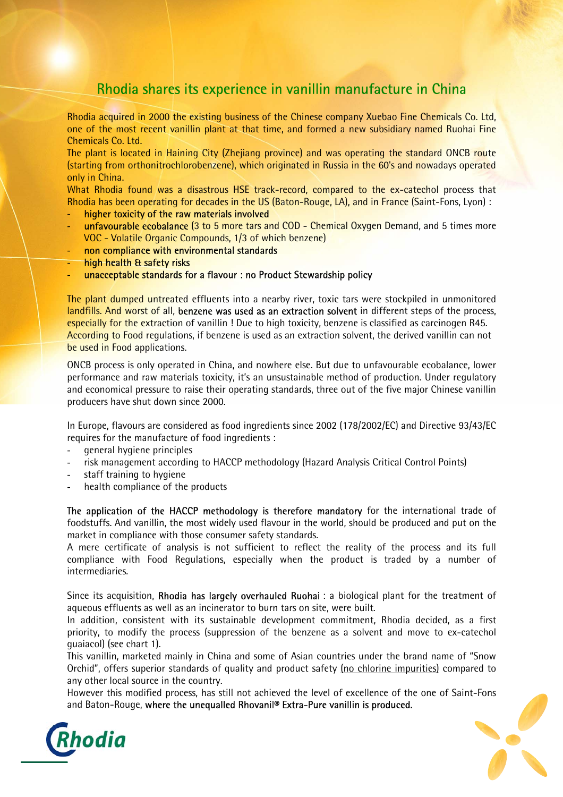## Rhodia shares its experience in vanillin manufacture in China

Rhodia acquired in 2000 the existing business of the Chinese company Xuebao Fine Chemicals Co. Ltd, one of the most recent vanillin plant at that time, and formed a new subsidiary named Ruohai Fine Chemicals Co. Ltd.

The plant is located in Haining City (Zhejiang province) and was operating the standard ONCB route (starting from orthonitrochlorobenzene), which originated in Russia in the 60's and nowadays operated only in China.

What Rhodia found was a disastrous HSE track-record, compared to the ex-catechol process that Rhodia has been operating for decades in the US (Baton-Rouge, LA), and in France (Saint-Fons, Lyon) :

- higher toxicity of the raw materials involved
- unfavourable ecobalance (3 to 5 more tars and COD Chemical Oxygen Demand, and 5 times more VOC - Volatile Organic Compounds, 1/3 of which benzene)
- non compliance with environmental standards
- high health & safety risks
- unacceptable standards for a flavour : no Product Stewardship policy

The plant dumped untreated effluents into a nearby river, toxic tars were stockpiled in unmonitored landfills. And worst of all, benzene was used as an extraction solvent in different steps of the process, especially for the extraction of vanillin ! Due to high toxicity, benzene is classified as carcinogen R45. According to Food regulations, if benzene is used as an extraction solvent, the derived vanillin can not be used in Food applications.

ONCB process is only operated in China, and nowhere else. But due to unfavourable ecobalance, lower performance and raw materials toxicity, it's an unsustainable method of production. Under regulatory and economical pressure to raise their operating standards, three out of the five major Chinese vanillin producers have shut down since 2000.

In Europe, flavours are considered as food ingredients since 2002 (178/2002/EC) and Directive 93/43/EC requires for the manufacture of food ingredients :

- general hygiene principles
- risk management according to HACCP methodology (Hazard Analysis Critical Control Points)
- staff training to hygiene
- health compliance of the products

The application of the HACCP methodology is therefore mandatory for the international trade of foodstuffs. And vanillin, the most widely used flavour in the world, should be produced and put on the market in compliance with those consumer safety standards.

A mere certificate of analysis is not sufficient to reflect the reality of the process and its full compliance with Food Regulations, especially when the product is traded by a number of intermediaries.

Since its acquisition, Rhodia has largely overhauled Ruohai : a biological plant for the treatment of aqueous effluents as well as an incinerator to burn tars on site, were built.

In addition, consistent with its sustainable development commitment, Rhodia decided, as a first priority, to modify the process (suppression of the benzene as a solvent and move to ex-catechol guaiacol) (see chart 1).

This vanillin, marketed mainly in China and some of Asian countries under the brand name of "Snow Orchid", offers superior standards of quality and product safety (no chlorine impurities) compared to any other local source in the country.

However this modified process, has still not achieved the level of excellence of the one of Saint-Fons and Baton-Rouge, where the unequalled Rhovanil® Extra-Pure vanillin is produced.